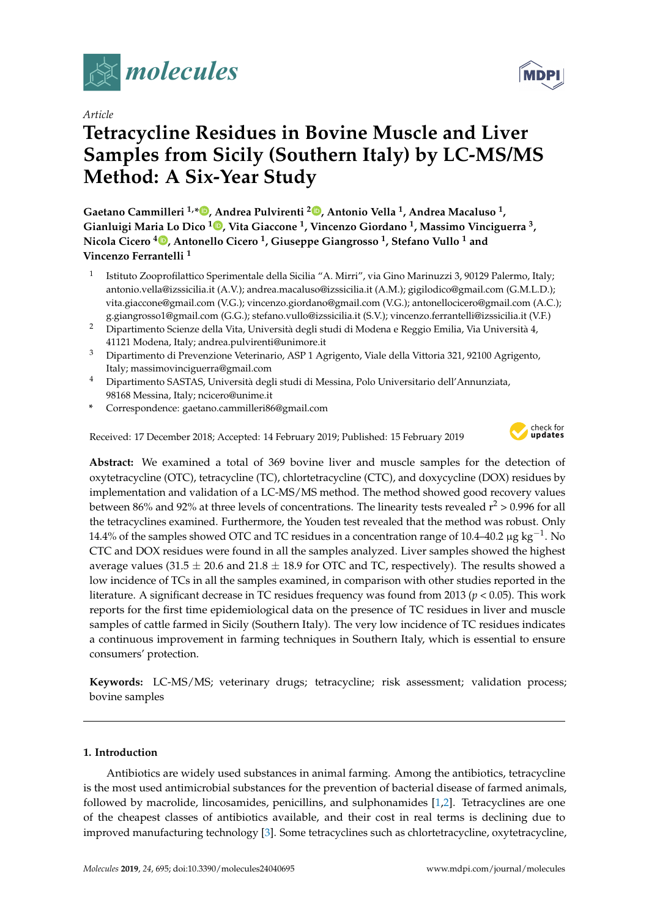

*Article*

# **Tetracycline Residues in Bovine Muscle and Liver Samples from Sicily (Southern Italy) by LC-MS/MS Method: A Six-Year Study**

**Gaetano Cammilleri 1,\* [,](https://orcid.org/0000-0001-6300-6571) Andrea Pulvirenti <sup>2</sup> [,](https://orcid.org/0000-0002-8479-8878) Antonio Vella <sup>1</sup> , Andrea Macaluso <sup>1</sup> , Gianluigi Maria Lo Dico [1](https://orcid.org/0000-0001-8537-0016) , Vita Giaccone <sup>1</sup> , Vincenzo Giordano <sup>1</sup> , Massimo Vinciguerra <sup>3</sup> , Nicola Cicero <sup>4</sup> [,](https://orcid.org/0000-0002-8055-1915) Antonello Cicero <sup>1</sup> , Giuseppe Giangrosso <sup>1</sup> , Stefano Vullo <sup>1</sup> and Vincenzo Ferrantelli <sup>1</sup>**

- 1 Istituto Zooprofilattico Sperimentale della Sicilia "A. Mirri", via Gino Marinuzzi 3, 90129 Palermo, Italy; antonio.vella@izssicilia.it (A.V.); andrea.macaluso@izssicilia.it (A.M.); gigilodico@gmail.com (G.M.L.D.); vita.giaccone@gmail.com (V.G.); vincenzo.giordano@gmail.com (V.G.); antonellocicero@gmail.com (A.C.); g.giangrosso1@gmail.com (G.G.); stefano.vullo@izssicilia.it (S.V.); vincenzo.ferrantelli@izssicilia.it (V.F.)
- <sup>2</sup> Dipartimento Scienze della Vita, Università degli studi di Modena e Reggio Emilia, Via Università 4, 41121 Modena, Italy; andrea.pulvirenti@unimore.it
- <sup>3</sup> Dipartimento di Prevenzione Veterinario, ASP 1 Agrigento, Viale della Vittoria 321, 92100 Agrigento, Italy; massimovinciguerra@gmail.com
- <sup>4</sup> Dipartimento SASTAS, Università degli studi di Messina, Polo Universitario dell'Annunziata, 98168 Messina, Italy; ncicero@unime.it
- **\*** Correspondence: gaetano.cammilleri86@gmail.com

Received: 17 December 2018; Accepted: 14 February 2019; Published: 15 February 2019



**Abstract:** We examined a total of 369 bovine liver and muscle samples for the detection of oxytetracycline (OTC), tetracycline (TC), chlortetracycline (CTC), and doxycycline (DOX) residues by implementation and validation of a LC-MS/MS method. The method showed good recovery values between 86% and 92% at three levels of concentrations. The linearity tests revealed  $r^2 > 0.996$  for all the tetracyclines examined. Furthermore, the Youden test revealed that the method was robust. Only 14.4% of the samples showed OTC and TC residues in a concentration range of 10.4–40.2 µg kg<sup>-1</sup>. No CTC and DOX residues were found in all the samples analyzed. Liver samples showed the highest average values (31.5  $\pm$  20.6 and 21.8  $\pm$  18.9 for OTC and TC, respectively). The results showed a low incidence of TCs in all the samples examined, in comparison with other studies reported in the literature. A significant decrease in TC residues frequency was found from 2013 (*p* < 0.05). This work reports for the first time epidemiological data on the presence of TC residues in liver and muscle samples of cattle farmed in Sicily (Southern Italy). The very low incidence of TC residues indicates a continuous improvement in farming techniques in Southern Italy, which is essential to ensure consumers' protection.

**Keywords:** LC-MS/MS; veterinary drugs; tetracycline; risk assessment; validation process; bovine samples

# **1. Introduction**

Antibiotics are widely used substances in animal farming. Among the antibiotics, tetracycline is the most used antimicrobial substances for the prevention of bacterial disease of farmed animals, followed by macrolide, lincosamides, penicillins, and sulphonamides [\[1](#page-7-0)[,2\]](#page-7-1). Tetracyclines are one of the cheapest classes of antibiotics available, and their cost in real terms is declining due to improved manufacturing technology [\[3\]](#page-7-2). Some tetracyclines such as chlortetracycline, oxytetracycline,

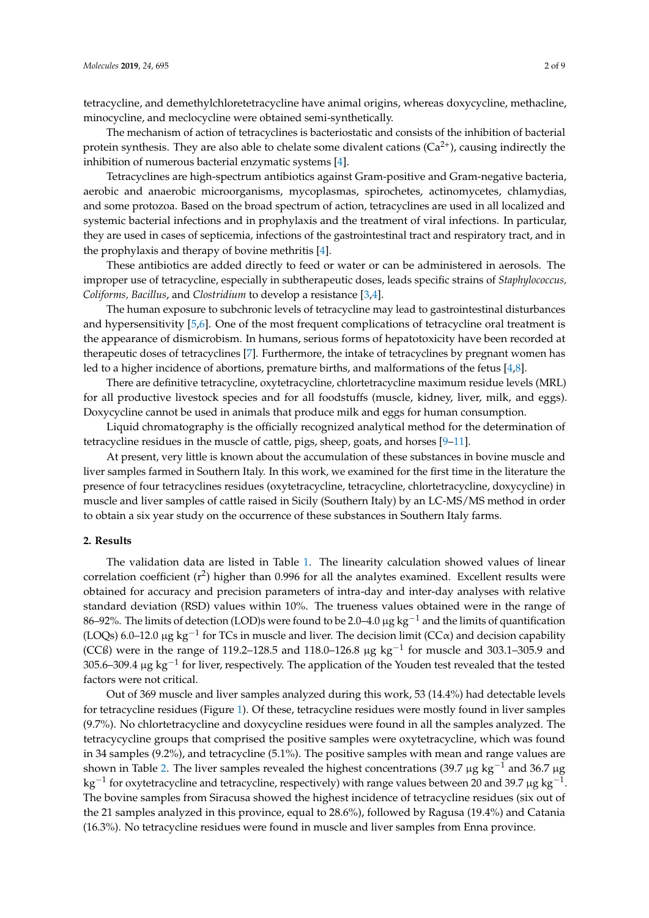tetracycline, and demethylchloretetracycline have animal origins, whereas doxycycline, methacline, minocycline, and meclocycline were obtained semi-synthetically.

The mechanism of action of tetracyclines is bacteriostatic and consists of the inhibition of bacterial protein synthesis. They are also able to chelate some divalent cations  $(Ca<sup>2+</sup>)$ , causing indirectly the inhibition of numerous bacterial enzymatic systems [\[4\]](#page-7-3).

Tetracyclines are high-spectrum antibiotics against Gram-positive and Gram-negative bacteria, aerobic and anaerobic microorganisms, mycoplasmas, spirochetes, actinomycetes, chlamydias, and some protozoa. Based on the broad spectrum of action, tetracyclines are used in all localized and systemic bacterial infections and in prophylaxis and the treatment of viral infections. In particular, they are used in cases of septicemia, infections of the gastrointestinal tract and respiratory tract, and in the prophylaxis and therapy of bovine methritis [\[4\]](#page-7-3).

These antibiotics are added directly to feed or water or can be administered in aerosols. The improper use of tetracycline, especially in subtherapeutic doses, leads specific strains of *Staphylococcus, Coliforms, Bacillus*, and *Clostridium* to develop a resistance [\[3](#page-7-2)[,4\]](#page-7-3).

The human exposure to subchronic levels of tetracycline may lead to gastrointestinal disturbances and hypersensitivity [\[5](#page-7-4)[,6\]](#page-7-5). One of the most frequent complications of tetracycline oral treatment is the appearance of dismicrobism. In humans, serious forms of hepatotoxicity have been recorded at therapeutic doses of tetracyclines [\[7\]](#page-7-6). Furthermore, the intake of tetracyclines by pregnant women has led to a higher incidence of abortions, premature births, and malformations of the fetus [\[4](#page-7-3)[,8\]](#page-7-7).

There are definitive tetracycline, oxytetracycline, chlortetracycline maximum residue levels (MRL) for all productive livestock species and for all foodstuffs (muscle, kidney, liver, milk, and eggs). Doxycycline cannot be used in animals that produce milk and eggs for human consumption.

Liquid chromatography is the officially recognized analytical method for the determination of tetracycline residues in the muscle of cattle, pigs, sheep, goats, and horses [\[9](#page-7-8)[–11\]](#page-7-9).

At present, very little is known about the accumulation of these substances in bovine muscle and liver samples farmed in Southern Italy. In this work, we examined for the first time in the literature the presence of four tetracyclines residues (oxytetracycline, tetracycline, chlortetracycline, doxycycline) in muscle and liver samples of cattle raised in Sicily (Southern Italy) by an LC-MS/MS method in order to obtain a six year study on the occurrence of these substances in Southern Italy farms.

## **2. Results**

The validation data are listed in Table [1.](#page-2-0) The linearity calculation showed values of linear correlation coefficient  $(r^2)$  higher than 0.996 for all the analytes examined. Excellent results were obtained for accuracy and precision parameters of intra-day and inter-day analyses with relative standard deviation (RSD) values within 10%. The trueness values obtained were in the range of 86–92%. The limits of detection (LOD)s were found to be 2.0–4.0 µg kg<sup>-1</sup> and the limits of quantification (LOQs) 6.0–12.0 µg kg<sup>-1</sup> for TCs in muscle and liver. The decision limit (CC $\alpha$ ) and decision capability (CCß) were in the range of 119.2–128.5 and 118.0–126.8 µg  $kg^{-1}$  for muscle and 303.1–305.9 and 305.6–309.4 µg kg<sup>-1</sup> for liver, respectively. The application of the Youden test revealed that the tested factors were not critical.

Out of 369 muscle and liver samples analyzed during this work, 53 (14.4%) had detectable levels for tetracycline residues (Figure [1\)](#page-2-1). Of these, tetracycline residues were mostly found in liver samples (9.7%). No chlortetracycline and doxycycline residues were found in all the samples analyzed. The tetracycycline groups that comprised the positive samples were oxytetracycline, which was found in 34 samples (9.2%), and tetracycline (5.1%). The positive samples with mean and range values are shown in Table [2.](#page-3-0) The liver samples revealed the highest concentrations (39.7 µg kg<sup>-1</sup> and 36.7 µg  $\text{kg}^{-1}$  for oxytetracycline and tetracycline, respectively) with range values between 20 and 39.7  $\mu\text{g kg}^{-1}$ . The bovine samples from Siracusa showed the highest incidence of tetracycline residues (six out of the 21 samples analyzed in this province, equal to 28.6%), followed by Ragusa (19.4%) and Catania (16.3%). No tetracycline residues were found in muscle and liver samples from Enna province.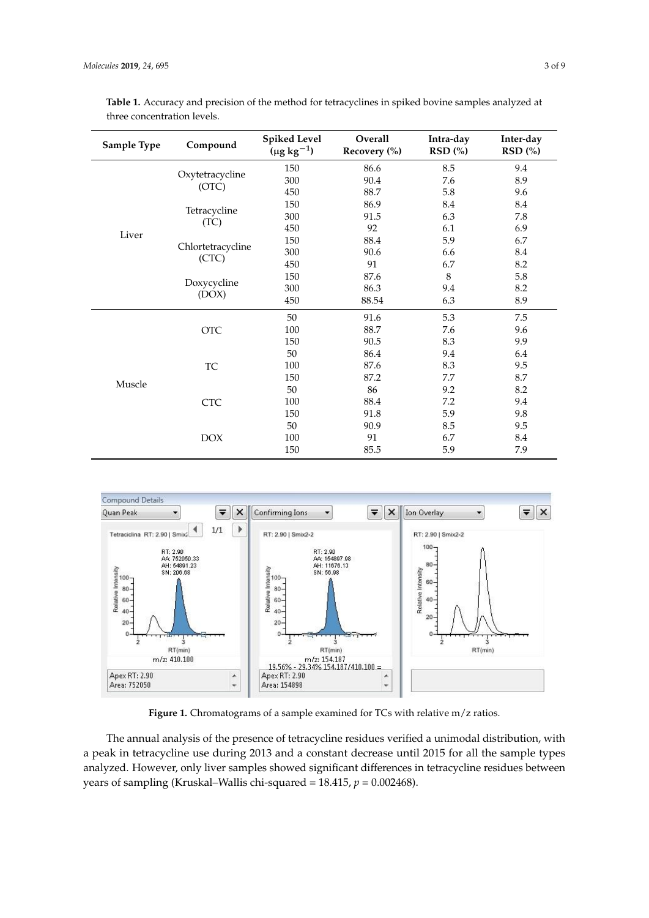| Sample Type | Compound                    | <b>Spiked Level</b><br>$(\mu g kg^{-1})$ | Overall<br>Recovery (%) | Intra-day<br>RSD(%) | Inter-day<br>$RSD$ (%) |  |
|-------------|-----------------------------|------------------------------------------|-------------------------|---------------------|------------------------|--|
|             |                             | 150                                      | 86.6                    | 8.5                 | 9.4                    |  |
|             | Oxytetracycline             | 300                                      | 90.4                    | 7.6                 | 8.9                    |  |
|             | (OTC)                       | 450                                      | 88.7                    | 5.8                 | 9.6                    |  |
|             |                             | 150                                      | 86.9                    | 8.4                 | 8.4                    |  |
|             | Tetracycline                | 300                                      | 91.5                    | 6.3                 | 7.8                    |  |
|             | (TC)                        | 92<br>6.1<br>450                         |                         |                     | 6.9                    |  |
| Liver       |                             | 150                                      | 88.4                    | 5.9                 | 6.7                    |  |
|             | Chlortetracycline           | 300                                      | 90.6                    | 6.6                 | 8.4                    |  |
|             | (CTC)                       | 450                                      | 91                      | 6.7                 | 8.2                    |  |
|             | Doxycycline                 | 150                                      | 87.6                    | $\,8\,$             | 5.8                    |  |
|             |                             | 300                                      | 86.3                    | 9.4                 | 8.2                    |  |
|             | (DOX)                       | 450                                      | 88.54                   | 6.3                 | 8.9                    |  |
|             |                             | 50                                       | 91.6                    | 5.3                 | 7.5                    |  |
|             | $\ensuremath{\mathsf{OTC}}$ | 100                                      | 88.7                    | 7.6                 | 9.6                    |  |
|             |                             | 150                                      | 90.5                    | 8.3                 | 9.9                    |  |
|             |                             | 50                                       | 86.4                    | 9.4                 | 6.4                    |  |
|             | TC                          | 100                                      | 87.6                    | 8.3                 | 9.5                    |  |
|             |                             | 150                                      | 87.2                    | 7.7                 | 8.7                    |  |
| Muscle      |                             | 50                                       | 86                      | 9.2                 | 8.2                    |  |
|             | <b>CTC</b>                  | 100                                      | 88.4                    | 7.2                 | 9.4                    |  |
|             |                             | 150                                      | 91.8                    | 5.9                 | 9.8                    |  |
|             |                             | 50                                       | 90.9                    | 8.5                 | 9.5                    |  |
|             | <b>DOX</b>                  | 100                                      | 91                      | 6.7                 | 8.4                    |  |
|             |                             | 150                                      | 85.5                    | 5.9                 | 7.9                    |  |

<span id="page-2-0"></span>**Table 1.** Accuracy and precision of the method for tetracyclines in spiked bovine samples analyzed at three concentration levels.

<span id="page-2-1"></span>

**Figure 1.** Chromatograms of a sample examined for TCs with relative m/z ratios. **Figure 1.** Chromatograms of a sample examined for TCs with relative m/z ratios.

The annual analysis of the presence of tetracycline residues verified a unimodal distribution, with a peak in tetracycline use during 2013 and a constant decrease until 2015 for all the sample types **N >LOQ Liver Muscle Liver Muscle**  analyzed. However, only liver samples showed significant differences in tetracycline residues between  $\mu$  years of sampling (Kruskal–Wallis chi-squared = 18.415,  $p = 0.002468$ ). OTC 152 217 25 (6.7) 9 (2.5) 31.5 ± 20.6 15.9 ± 10.4 23.9–40.2 15.0–28.6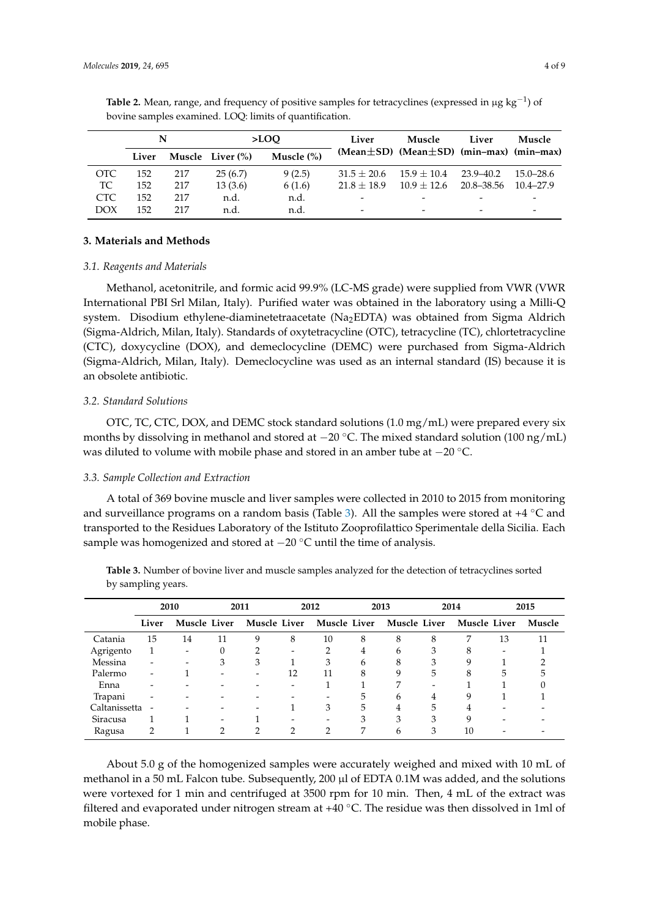|            | N     |     | $>$ LOO          |               | Liver                        | Muscle                                              | Liver      | Muscle                   |  |
|------------|-------|-----|------------------|---------------|------------------------------|-----------------------------------------------------|------------|--------------------------|--|
|            | Liver |     | Muscle Liver (%) | Muscle $(\%)$ |                              | (Mean $\pm$ SD) (Mean $\pm$ SD) (min–max) (min–max) |            |                          |  |
| <b>OTC</b> | 152   | 217 | 25(6.7)          | 9(2.5)        | $31.5 \pm 20.6$              | $15.9 \pm 10.4$                                     | 23.9–40.2  | $15.0 - 28.6$            |  |
| TC.        | 152   | 217 | 13(3.6)          | 6(1.6)        | $21.8 + 18.9$                | $10.9 + 12.6$                                       | 20.8–38.56 | $10.4 - 27.9$            |  |
| CTC.       | 152   | 217 | n.d.             | n.d.          | $\qquad \qquad \blacksquare$ |                                                     |            |                          |  |
| DOX        | 152   | 217 | n.d.             | n.d.          | -                            |                                                     |            | $\overline{\phantom{0}}$ |  |

<span id="page-3-0"></span>Table 2. Mean, range, and frequency of positive samples for tetracyclines (expressed in μg kg<sup>-1</sup>) of bovine samples examined. LOQ: limits of quantification.

#### **3. Materials and Methods**

#### *3.1. Reagents and Materials*

Methanol, acetonitrile, and formic acid 99.9% (LC-MS grade) were supplied from VWR (VWR International PBI Srl Milan, Italy). Purified water was obtained in the laboratory using a Milli-Q system. Disodium ethylene-diaminetetraacetate  $(Na<sub>2</sub>EDTA)$  was obtained from Sigma Aldrich (Sigma-Aldrich, Milan, Italy). Standards of oxytetracycline (OTC), tetracycline (TC), chlortetracycline (CTC), doxycycline (DOX), and demeclocycline (DEMC) were purchased from Sigma-Aldrich (Sigma-Aldrich, Milan, Italy). Demeclocycline was used as an internal standard (IS) because it is an obsolete antibiotic.

## *3.2. Standard Solutions*

OTC, TC, CTC, DOX, and DEMC stock standard solutions (1.0 mg/mL) were prepared every six months by dissolving in methanol and stored at  $-20$  °C. The mixed standard solution (100 ng/mL) was diluted to volume with mobile phase and stored in an amber tube at −20 ◦C.

#### *3.3. Sample Collection and Extraction*

A total of 369 bovine muscle and liver samples were collected in 2010 to 2015 from monitoring and surveillance programs on a random basis (Table [3\)](#page-3-1). All the samples were stored at +4 ◦C and transported to the Residues Laboratory of the Istituto Zooprofilattico Sperimentale della Sicilia. Each sample was homogenized and stored at −20 °C until the time of analysis.

<span id="page-3-1"></span>**Table 3.** Number of bovine liver and muscle samples analyzed for the detection of tetracyclines sorted by sampling years.

|               |       | 2010                |    | 2011 |                          | 2012 |                           | 2013 |   | 2014                |    | 2015   |
|---------------|-------|---------------------|----|------|--------------------------|------|---------------------------|------|---|---------------------|----|--------|
|               | Liver | <b>Muscle Liver</b> |    |      | <b>Muscle Liver</b>      |      | Muscle Liver Muscle Liver |      |   | <b>Muscle Liver</b> |    | Muscle |
| Catania       | 15    | 14                  | 11 | 9    | 8                        | 10   | 8                         | 8    | 8 | 7                   | 13 | 11     |
| Agrigento     | 1     |                     |    |      |                          |      |                           | 6    | 3 | 8                   |    |        |
| Messina       |       |                     | 3  | 3    |                          | 3    | 6                         | 8    | 3 |                     |    |        |
| Palermo       |       |                     |    |      | 12                       | 11   | 8                         | 9    | 5 | 8                   | 5  |        |
| Enna          |       |                     |    |      | $\overline{\phantom{0}}$ |      |                           |      |   |                     |    |        |
| Trapani       |       |                     |    |      |                          |      | 5                         | h    | 4 | q                   |    |        |
| Caltanissetta | ٠     |                     |    |      |                          | 3    | 5                         |      | 5 |                     |    |        |
| Siracusa      |       |                     |    |      |                          |      |                           | 3    | 3 | q                   |    |        |
| Ragusa        | っ     |                     | ◠  | ∍    |                          |      | ⇁                         | h    | 3 | 10                  |    |        |
|               |       |                     |    |      |                          |      |                           |      |   |                     |    |        |

About 5.0 g of the homogenized samples were accurately weighed and mixed with 10 mL of methanol in a 50 mL Falcon tube. Subsequently, 200  $\mu$ l of EDTA 0.1M was added, and the solutions were vortexed for 1 min and centrifuged at 3500 rpm for 10 min. Then, 4 mL of the extract was filtered and evaporated under nitrogen stream at  $+40$  °C. The residue was then dissolved in 1ml of mobile phase.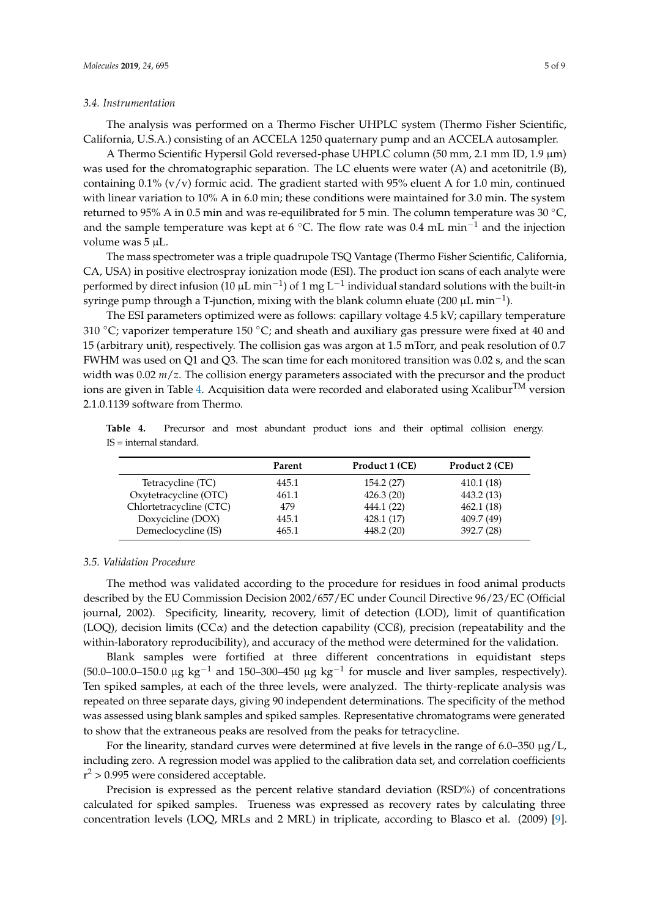#### *3.4. Instrumentation*

The analysis was performed on a Thermo Fischer UHPLC system (Thermo Fisher Scientific, California, U.S.A.) consisting of an ACCELA 1250 quaternary pump and an ACCELA autosampler.

A Thermo Scientific Hypersil Gold reversed-phase UHPLC column (50 mm, 2.1 mm ID, 1.9  $\mu$ m) was used for the chromatographic separation. The LC eluents were water (A) and acetonitrile (B), containing  $0.1\%$  (v/v) formic acid. The gradient started with 95% eluent A for 1.0 min, continued with linear variation to 10% A in 6.0 min; these conditions were maintained for 3.0 min. The system returned to 95% A in 0.5 min and was re-equilibrated for 5 min. The column temperature was 30 ◦C, and the sample temperature was kept at 6 °C. The flow rate was 0.4 mL min<sup>-1</sup> and the injection volume was 5 µL.

The mass spectrometer was a triple quadrupole TSQ Vantage (Thermo Fisher Scientific, California, CA, USA) in positive electrospray ionization mode (ESI). The product ion scans of each analyte were performed by direct infusion (10 µL min $^{-1}$ ) of 1 mg L $^{-1}$  individual standard solutions with the built-in syringe pump through a T-junction, mixing with the blank column eluate (200  $\mu$ L min $^{-1}$ ).

The ESI parameters optimized were as follows: capillary voltage 4.5 kV; capillary temperature 310 °C; vaporizer temperature 150 °C; and sheath and auxiliary gas pressure were fixed at 40 and 15 (arbitrary unit), respectively. The collision gas was argon at 1.5 mTorr, and peak resolution of 0.7 FWHM was used on Q1 and Q3. The scan time for each monitored transition was 0.02 s, and the scan width was 0.02 *m*/*z*. The collision energy parameters associated with the precursor and the product ions are given in Table [4.](#page-4-0) Acquisition data were recorded and elaborated using Xcalibur<sup>TM</sup> version 2.1.0.1139 software from Thermo.

<span id="page-4-0"></span>**Table 4.** Precursor and most abundant product ions and their optimal collision energy. IS = internal standard.

|                         | Parent | Product 1 (CE) | Product 2 (CE) |
|-------------------------|--------|----------------|----------------|
| Tetracycline (TC)       | 445.1  | 154.2 (27)     | 410.1(18)      |
| Oxytetracycline (OTC)   | 461.1  | 426.3(20)      | 443.2(13)      |
| Chlortetracycline (CTC) | 479    | 444.1 (22)     | 462.1(18)      |
| Doxycicline (DOX)       | 445.1  | 428.1(17)      | 409.7(49)      |
| Demeclocycline (IS)     | 465.1  | 448.2(20)      | 392.7 (28)     |

#### *3.5. Validation Procedure*

The method was validated according to the procedure for residues in food animal products described by the EU Commission Decision 2002/657/EC under Council Directive 96/23/EC (Official journal, 2002). Specificity, linearity, recovery, limit of detection (LOD), limit of quantification (LOQ), decision limits (CCα) and the detection capability (CCß), precision (repeatability and the within-laboratory reproducibility), and accuracy of the method were determined for the validation.

Blank samples were fortified at three different concentrations in equidistant steps (50.0–100.0–150.0 µg kg<sup>-1</sup> and 150–300–450 µg kg<sup>-1</sup> for muscle and liver samples, respectively). Ten spiked samples, at each of the three levels, were analyzed. The thirty-replicate analysis was repeated on three separate days, giving 90 independent determinations. The specificity of the method was assessed using blank samples and spiked samples. Representative chromatograms were generated to show that the extraneous peaks are resolved from the peaks for tetracycline.

For the linearity, standard curves were determined at five levels in the range of 6.0–350  $\mu$ g/L, including zero. A regression model was applied to the calibration data set, and correlation coefficients  $r^2 > 0.995$  were considered acceptable.

Precision is expressed as the percent relative standard deviation (RSD%) of concentrations calculated for spiked samples. Trueness was expressed as recovery rates by calculating three concentration levels (LOQ, MRLs and 2 MRL) in triplicate, according to Blasco et al. (2009) [\[9\]](#page-7-8).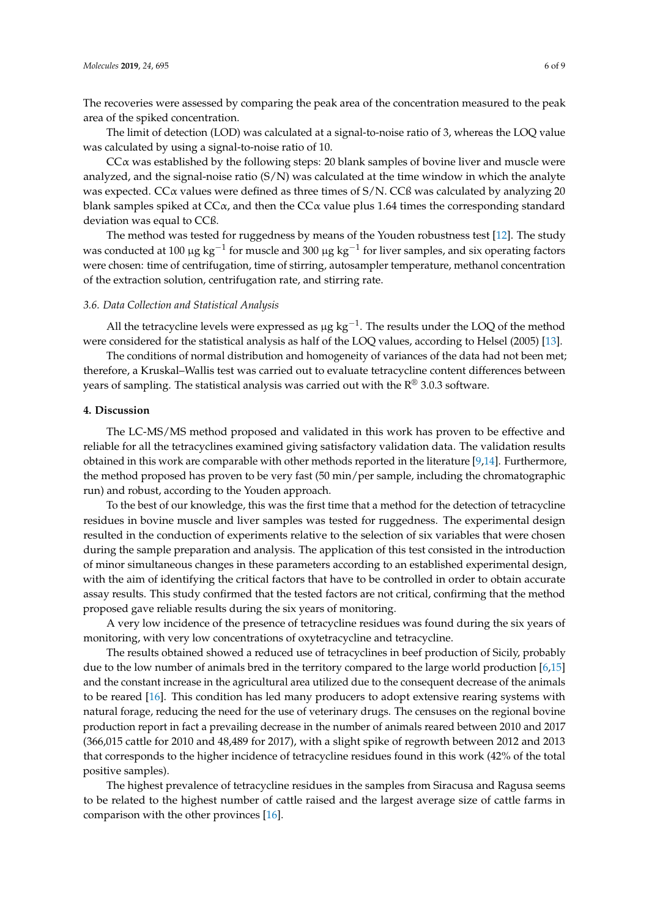The recoveries were assessed by comparing the peak area of the concentration measured to the peak area of the spiked concentration.

The limit of detection (LOD) was calculated at a signal-to-noise ratio of 3, whereas the LOQ value was calculated by using a signal-to-noise ratio of 10.

 $CC\alpha$  was established by the following steps: 20 blank samples of bovine liver and muscle were analyzed, and the signal-noise ratio  $(S/N)$  was calculated at the time window in which the analyte was expected. CC $\alpha$  values were defined as three times of S/N. CC $\beta$  was calculated by analyzing 20 blank samples spiked at  $CC\alpha$ , and then the  $CC\alpha$  value plus 1.64 times the corresponding standard deviation was equal to CCß.

The method was tested for ruggedness by means of the Youden robustness test [\[12\]](#page-7-10). The study was conducted at 100  $\mu$ g kg $^{-1}$  for muscle and 300  $\mu$ g kg $^{-1}$  for liver samples, and six operating factors were chosen: time of centrifugation, time of stirring, autosampler temperature, methanol concentration of the extraction solution, centrifugation rate, and stirring rate.

### *3.6. Data Collection and Statistical Analysis*

All the tetracycline levels were expressed as  $\mu$ g kg<sup>-1</sup>. The results under the LOQ of the method were considered for the statistical analysis as half of the LOQ values, according to Helsel (2005) [\[13\]](#page-7-11).

The conditions of normal distribution and homogeneity of variances of the data had not been met; therefore, a Kruskal–Wallis test was carried out to evaluate tetracycline content differences between years of sampling. The statistical analysis was carried out with the  $R^{\circledR}$  3.0.3 software.

### **4. Discussion**

The LC-MS/MS method proposed and validated in this work has proven to be effective and reliable for all the tetracyclines examined giving satisfactory validation data. The validation results obtained in this work are comparable with other methods reported in the literature [\[9,](#page-7-8)[14\]](#page-7-12). Furthermore, the method proposed has proven to be very fast (50 min/per sample, including the chromatographic run) and robust, according to the Youden approach.

To the best of our knowledge, this was the first time that a method for the detection of tetracycline residues in bovine muscle and liver samples was tested for ruggedness. The experimental design resulted in the conduction of experiments relative to the selection of six variables that were chosen during the sample preparation and analysis. The application of this test consisted in the introduction of minor simultaneous changes in these parameters according to an established experimental design, with the aim of identifying the critical factors that have to be controlled in order to obtain accurate assay results. This study confirmed that the tested factors are not critical, confirming that the method proposed gave reliable results during the six years of monitoring.

A very low incidence of the presence of tetracycline residues was found during the six years of monitoring, with very low concentrations of oxytetracycline and tetracycline.

The results obtained showed a reduced use of tetracyclines in beef production of Sicily, probably due to the low number of animals bred in the territory compared to the large world production [\[6](#page-7-5)[,15\]](#page-7-13) and the constant increase in the agricultural area utilized due to the consequent decrease of the animals to be reared [\[16\]](#page-7-14). This condition has led many producers to adopt extensive rearing systems with natural forage, reducing the need for the use of veterinary drugs. The censuses on the regional bovine production report in fact a prevailing decrease in the number of animals reared between 2010 and 2017 (366,015 cattle for 2010 and 48,489 for 2017), with a slight spike of regrowth between 2012 and 2013 that corresponds to the higher incidence of tetracycline residues found in this work (42% of the total positive samples).

The highest prevalence of tetracycline residues in the samples from Siracusa and Ragusa seems to be related to the highest number of cattle raised and the largest average size of cattle farms in comparison with the other provinces [\[16\]](#page-7-14).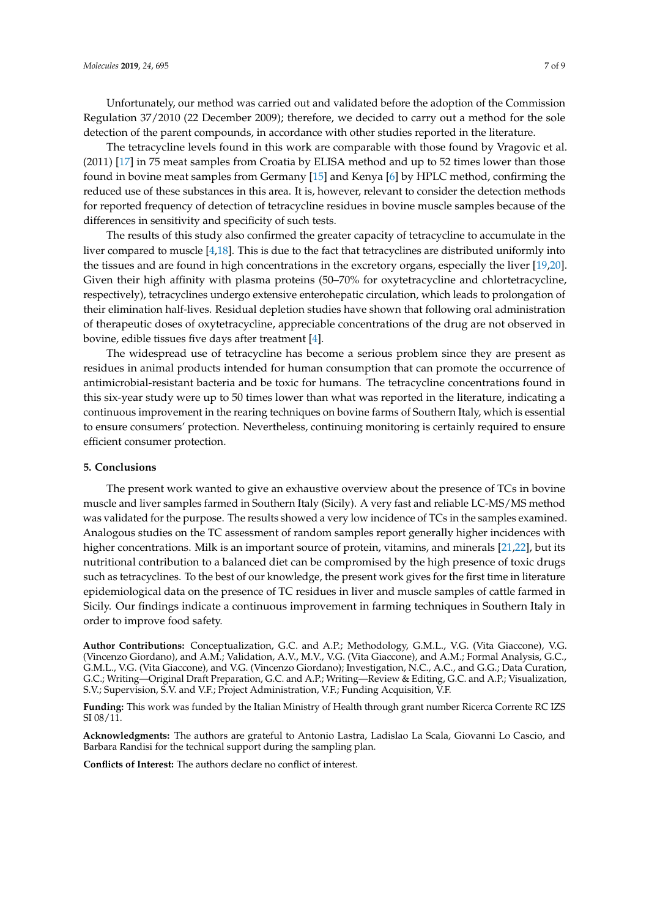Unfortunately, our method was carried out and validated before the adoption of the Commission Regulation 37/2010 (22 December 2009); therefore, we decided to carry out a method for the sole detection of the parent compounds, in accordance with other studies reported in the literature.

The tetracycline levels found in this work are comparable with those found by Vragovic et al. (2011) [\[17\]](#page-7-15) in 75 meat samples from Croatia by ELISA method and up to 52 times lower than those found in bovine meat samples from Germany [\[15\]](#page-7-13) and Kenya [\[6\]](#page-7-5) by HPLC method, confirming the reduced use of these substances in this area. It is, however, relevant to consider the detection methods for reported frequency of detection of tetracycline residues in bovine muscle samples because of the differences in sensitivity and specificity of such tests.

The results of this study also confirmed the greater capacity of tetracycline to accumulate in the liver compared to muscle [\[4](#page-7-3)[,18\]](#page-7-16). This is due to the fact that tetracyclines are distributed uniformly into the tissues and are found in high concentrations in the excretory organs, especially the liver [\[19,](#page-7-17)[20\]](#page-7-18). Given their high affinity with plasma proteins (50–70% for oxytetracycline and chlortetracycline, respectively), tetracyclines undergo extensive enterohepatic circulation, which leads to prolongation of their elimination half-lives. Residual depletion studies have shown that following oral administration of therapeutic doses of oxytetracycline, appreciable concentrations of the drug are not observed in bovine, edible tissues five days after treatment [\[4\]](#page-7-3).

The widespread use of tetracycline has become a serious problem since they are present as residues in animal products intended for human consumption that can promote the occurrence of antimicrobial-resistant bacteria and be toxic for humans. The tetracycline concentrations found in this six-year study were up to 50 times lower than what was reported in the literature, indicating a continuous improvement in the rearing techniques on bovine farms of Southern Italy, which is essential to ensure consumers' protection. Nevertheless, continuing monitoring is certainly required to ensure efficient consumer protection.

#### **5. Conclusions**

The present work wanted to give an exhaustive overview about the presence of TCs in bovine muscle and liver samples farmed in Southern Italy (Sicily). A very fast and reliable LC-MS/MS method was validated for the purpose. The results showed a very low incidence of TCs in the samples examined. Analogous studies on the TC assessment of random samples report generally higher incidences with higher concentrations. Milk is an important source of protein, vitamins, and minerals [\[21,](#page-7-19)[22\]](#page-8-0), but its nutritional contribution to a balanced diet can be compromised by the high presence of toxic drugs such as tetracyclines. To the best of our knowledge, the present work gives for the first time in literature epidemiological data on the presence of TC residues in liver and muscle samples of cattle farmed in Sicily. Our findings indicate a continuous improvement in farming techniques in Southern Italy in order to improve food safety.

**Author Contributions:** Conceptualization, G.C. and A.P.; Methodology, G.M.L., V.G. (Vita Giaccone), V.G. (Vincenzo Giordano), and A.M.; Validation, A.V., M.V., V.G. (Vita Giaccone), and A.M.; Formal Analysis, G.C., G.M.L., V.G. (Vita Giaccone), and V.G. (Vincenzo Giordano); Investigation, N.C., A.C., and G.G.; Data Curation, G.C.; Writing—Original Draft Preparation, G.C. and A.P.; Writing—Review & Editing, G.C. and A.P.; Visualization, S.V.; Supervision, S.V. and V.F.; Project Administration, V.F.; Funding Acquisition, V.F.

**Funding:** This work was funded by the Italian Ministry of Health through grant number Ricerca Corrente RC IZS SI 08/11.

**Acknowledgments:** The authors are grateful to Antonio Lastra, Ladislao La Scala, Giovanni Lo Cascio, and Barbara Randisi for the technical support during the sampling plan.

**Conflicts of Interest:** The authors declare no conflict of interest.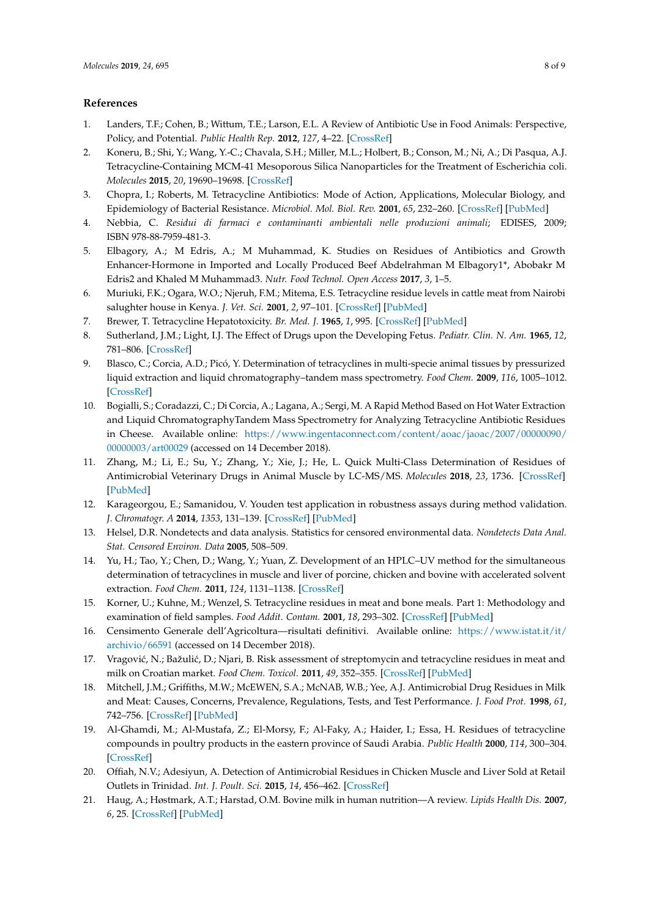# **References**

- <span id="page-7-0"></span>1. Landers, T.F.; Cohen, B.; Wittum, T.E.; Larson, E.L. A Review of Antibiotic Use in Food Animals: Perspective, Policy, and Potential. *Public Health Rep.* **2012**, *127*, 4–22. [\[CrossRef\]](http://dx.doi.org/10.1177/003335491212700103)
- <span id="page-7-1"></span>2. Koneru, B.; Shi, Y.; Wang, Y.-C.; Chavala, S.H.; Miller, M.L.; Holbert, B.; Conson, M.; Ni, A.; Di Pasqua, A.J. Tetracycline-Containing MCM-41 Mesoporous Silica Nanoparticles for the Treatment of Escherichia coli. *Molecules* **2015**, *20*, 19690–19698. [\[CrossRef\]](http://dx.doi.org/10.3390/molecules201119650)
- <span id="page-7-2"></span>3. Chopra, I.; Roberts, M. Tetracycline Antibiotics: Mode of Action, Applications, Molecular Biology, and Epidemiology of Bacterial Resistance. *Microbiol. Mol. Biol. Rev.* **2001**, *65*, 232–260. [\[CrossRef\]](http://dx.doi.org/10.1128/MMBR.65.2.232-260.2001) [\[PubMed\]](http://www.ncbi.nlm.nih.gov/pubmed/11381101)
- <span id="page-7-3"></span>4. Nebbia, C. *Residui di farmaci e contaminanti ambientali nelle produzioni animali*; EDISES, 2009; ISBN 978-88-7959-481-3.
- <span id="page-7-4"></span>5. Elbagory, A.; M Edris, A.; M Muhammad, K. Studies on Residues of Antibiotics and Growth Enhancer-Hormone in Imported and Locally Produced Beef Abdelrahman M Elbagory1\*, Abobakr M Edris2 and Khaled M Muhammad3. *Nutr. Food Technol. Open Access* **2017**, *3*, 1–5.
- <span id="page-7-5"></span>6. Muriuki, F.K.; Ogara, W.O.; Njeruh, F.M.; Mitema, E.S. Tetracycline residue levels in cattle meat from Nairobi salughter house in Kenya. *J. Vet. Sci.* **2001**, *2*, 97–101. [\[CrossRef\]](http://dx.doi.org/10.4142/jvs.2001.2.2.97) [\[PubMed\]](http://www.ncbi.nlm.nih.gov/pubmed/14614278)
- <span id="page-7-6"></span>7. Brewer, T. Tetracycline Hepatotoxicity. *Br. Med. J.* **1965**, *1*, 995. [\[CrossRef\]](http://dx.doi.org/10.1136/bmj.1.5440.995) [\[PubMed\]](http://www.ncbi.nlm.nih.gov/pubmed/14260641)
- <span id="page-7-7"></span>8. Sutherland, J.M.; Light, I.J. The Effect of Drugs upon the Developing Fetus. *Pediatr. Clin. N. Am.* **1965**, *12*, 781–806. [\[CrossRef\]](http://dx.doi.org/10.1016/S0031-3955(16)31745-X)
- <span id="page-7-8"></span>9. Blasco, C.; Corcia, A.D.; Picó, Y. Determination of tetracyclines in multi-specie animal tissues by pressurized liquid extraction and liquid chromatography–tandem mass spectrometry. *Food Chem.* **2009**, *116*, 1005–1012. [\[CrossRef\]](http://dx.doi.org/10.1016/j.foodchem.2009.03.055)
- 10. Bogialli, S.; Coradazzi, C.; Di Corcia, A.; Lagana, A.; Sergi, M. A Rapid Method Based on Hot Water Extraction and Liquid ChromatographyTandem Mass Spectrometry for Analyzing Tetracycline Antibiotic Residues in Cheese. Available online: [https://www.ingentaconnect.com/content/aoac/jaoac/2007/00000090/](https://www.ingentaconnect.com/content/aoac/jaoac/2007/00000090/00000003/art00029) [00000003/art00029](https://www.ingentaconnect.com/content/aoac/jaoac/2007/00000090/00000003/art00029) (accessed on 14 December 2018).
- <span id="page-7-9"></span>11. Zhang, M.; Li, E.; Su, Y.; Zhang, Y.; Xie, J.; He, L. Quick Multi-Class Determination of Residues of Antimicrobial Veterinary Drugs in Animal Muscle by LC-MS/MS. *Molecules* **2018**, *23*, 1736. [\[CrossRef\]](http://dx.doi.org/10.3390/molecules23071736) [\[PubMed\]](http://www.ncbi.nlm.nih.gov/pubmed/30012996)
- <span id="page-7-10"></span>12. Karageorgou, E.; Samanidou, V. Youden test application in robustness assays during method validation. *J. Chromatogr. A* **2014**, *1353*, 131–139. [\[CrossRef\]](http://dx.doi.org/10.1016/j.chroma.2014.01.050) [\[PubMed\]](http://www.ncbi.nlm.nih.gov/pubmed/24508395)
- <span id="page-7-11"></span>13. Helsel, D.R. Nondetects and data analysis. Statistics for censored environmental data. *Nondetects Data Anal. Stat. Censored Environ. Data* **2005**, 508–509.
- <span id="page-7-12"></span>14. Yu, H.; Tao, Y.; Chen, D.; Wang, Y.; Yuan, Z. Development of an HPLC–UV method for the simultaneous determination of tetracyclines in muscle and liver of porcine, chicken and bovine with accelerated solvent extraction. *Food Chem.* **2011**, *124*, 1131–1138. [\[CrossRef\]](http://dx.doi.org/10.1016/j.foodchem.2010.07.024)
- <span id="page-7-13"></span>15. Korner, U.; Kuhne, M.; Wenzel, S. Tetracycline residues in meat and bone meals. Part 1: Methodology and examination of field samples. *Food Addit. Contam.* **2001**, *18*, 293–302. [\[CrossRef\]](http://dx.doi.org/10.1080/02652030121556) [\[PubMed\]](http://www.ncbi.nlm.nih.gov/pubmed/11339263)
- <span id="page-7-14"></span>16. Censimento Generale dell'Agricoltura—risultati definitivi. Available online: [https://www.istat.it/it/](https://www.istat.it/it/archivio/66591) [archivio/66591](https://www.istat.it/it/archivio/66591) (accessed on 14 December 2018).
- <span id="page-7-15"></span>17. Vragović, N.; Bažulić, D.; Njari, B. Risk assessment of streptomycin and tetracycline residues in meat and milk on Croatian market. *Food Chem. Toxicol.* **2011**, *49*, 352–355. [\[CrossRef\]](http://dx.doi.org/10.1016/j.fct.2010.11.006) [\[PubMed\]](http://www.ncbi.nlm.nih.gov/pubmed/21074594)
- <span id="page-7-16"></span>18. Mitchell, J.M.; Griffiths, M.W.; McEWEN, S.A.; McNAB, W.B.; Yee, A.J. Antimicrobial Drug Residues in Milk and Meat: Causes, Concerns, Prevalence, Regulations, Tests, and Test Performance. *J. Food Prot.* **1998**, *61*, 742–756. [\[CrossRef\]](http://dx.doi.org/10.4315/0362-028X-61.6.742) [\[PubMed\]](http://www.ncbi.nlm.nih.gov/pubmed/9709262)
- <span id="page-7-17"></span>19. Al-Ghamdi, M.; Al-Mustafa, Z.; El-Morsy, F.; Al-Faky, A.; Haider, I.; Essa, H. Residues of tetracycline compounds in poultry products in the eastern province of Saudi Arabia. *Public Health* **2000**, *114*, 300–304. [\[CrossRef\]](http://dx.doi.org/10.1016/S0033-3506(00)00350-4)
- <span id="page-7-18"></span>20. Offiah, N.V.; Adesiyun, A. Detection of Antimicrobial Residues in Chicken Muscle and Liver Sold at Retail Outlets in Trinidad. *Int. J. Poult. Sci.* **2015**, *14*, 456–462. [\[CrossRef\]](http://dx.doi.org/10.3923/ijps.2015.456.462)
- <span id="page-7-19"></span>21. Haug, A.; Høstmark, A.T.; Harstad, O.M. Bovine milk in human nutrition—A review. *Lipids Health Dis.* **2007**, *6*, 25. [\[CrossRef\]](http://dx.doi.org/10.1186/1476-511X-6-25) [\[PubMed\]](http://www.ncbi.nlm.nih.gov/pubmed/17894873)